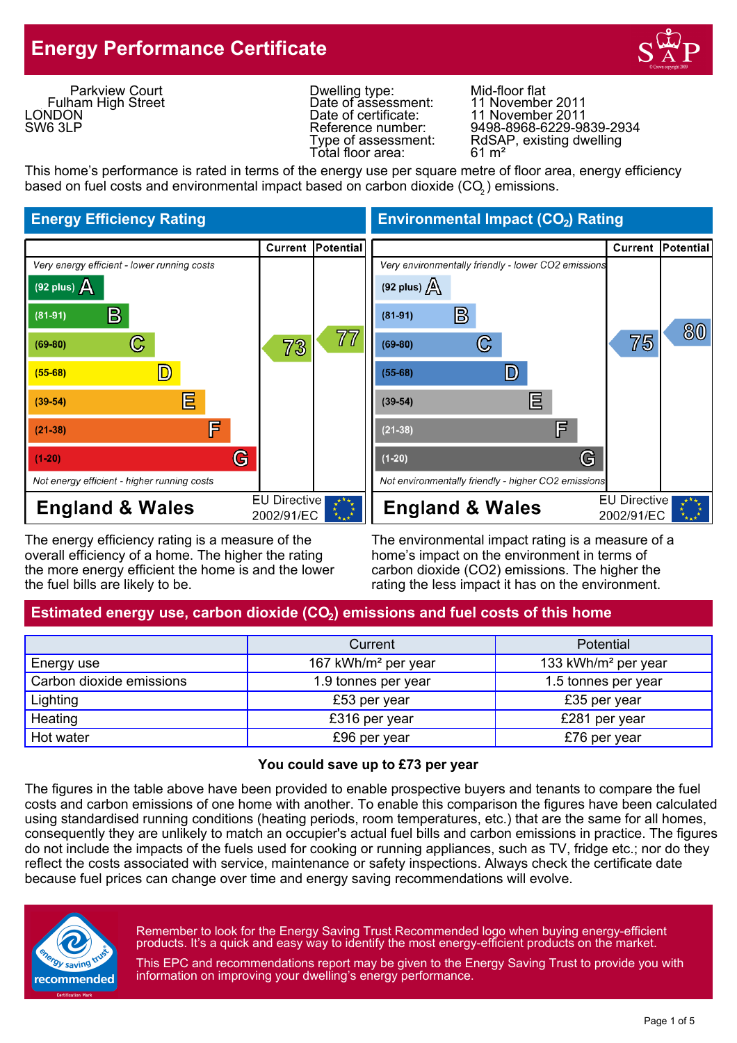## **Energy Performance Certificate**



Parkview Court Fulham High Street **LONDON** SW6 3LP

Dwelling type: Mid-floor flat<br>Date of assessment: 11 November 2011 Date of assessment:<br>Date of certificate: Total floor area:

11 November 2011 Reference number: 9498-8968-6229-9839-2934 Type of assessment: RdSAP, existing dwelling<br>Total floor area: 61 m<sup>2</sup>

This home's performance is rated in terms of the energy use per square metre of floor area, energy efficiency based on fuel costs and environmental impact based on carbon dioxide (CO $_{\rm 2}$ ) emissions.



The energy efficiency rating is a measure of the The environmental impact rating is a measure of a overall efficiency of a home. The higher the rating home's impact on the environment in terms of the more energy efficient the home is and the lower carbon dioxide (CO2) emissions. The higher the the fuel bills are likely to be. The rating the less impact it has on the environment.

**Energy Efficiency Rating Environmental Impact (CO<sub>2</sub>) Rating** 



### Estimated energy use, carbon dioxide (CO<sub>2</sub>) emissions and fuel costs of this home

|                          | Current                         | <b>Potential</b>                |
|--------------------------|---------------------------------|---------------------------------|
| Energy use               | 167 kWh/m <sup>2</sup> per year | 133 kWh/m <sup>2</sup> per year |
| Carbon dioxide emissions | 1.9 tonnes per year             | 1.5 tonnes per year             |
| Lighting                 | £53 per year                    | £35 per year                    |
| Heating                  | £316 per year                   | £281 per year                   |
| Hot water                | £96 per year                    | £76 per year                    |

#### **You could save up to £73 per year**

The figures in the table above have been provided to enable prospective buyers and tenants to compare the fuel costs and carbon emissions of one home with another. To enable this comparison the figures have been calculated using standardised running conditions (heating periods, room temperatures, etc.) that are the same for all homes, consequently they are unlikely to match an occupier's actual fuel bills and carbon emissions in practice. The figures do not include the impacts of the fuels used for cooking or running appliances, such as TV, fridge etc.; nor do they reflect the costs associated with service, maintenance or safety inspections. Always check the certificate date because fuel prices can change over time and energy saving recommendations will evolve.



Remember to look for the Energy Saving Trust Recommended logo when buying energy-efficient products. It's a quick and easy way to identify the most energy-efficient products on the market.

This EPC and recommendations report may be given to the Energy Saving Trust to provide you with information on improving your dwelling's energy performance.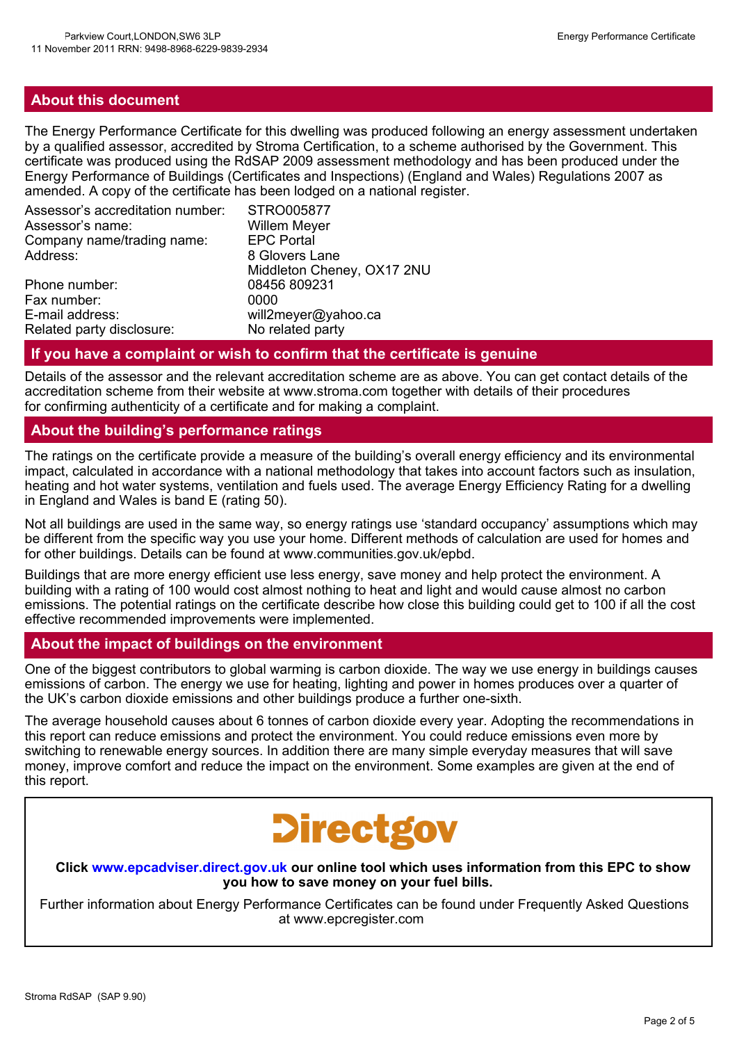#### **About this document**

The Energy Performance Certificate for this dwelling was produced following an energy assessment undertaken by a qualified assessor, accredited by Stroma Certification, to a scheme authorised by the Government. This certificate was produced using the RdSAP 2009 assessment methodology and has been produced under the Energy Performance of Buildings (Certificates and Inspections) (England and Wales) Regulations 2007 as amended. A copy of the certificate has been lodged on a national register.

| Assessor's accreditation number: | STRO005877                 |
|----------------------------------|----------------------------|
| Assessor's name:                 | <b>Willem Meyer</b>        |
| Company name/trading name:       | <b>EPC Portal</b>          |
| Address:                         | 8 Glovers Lane             |
|                                  | Middleton Cheney, OX17 2NU |
| Phone number:                    | 08456 809231               |
| Fax number:                      | 0000                       |
| E-mail address:                  | will2meyer@yahoo.ca        |
| Related party disclosure:        | No related party           |

#### **If you have a complaint or wish to confirm that the certificate is genuine**

Details of the assessor and the relevant accreditation scheme are as above. You can get contact details of the accreditation scheme from their website at www.stroma.com together with details of their procedures for confirming authenticity of a certificate and for making a complaint.

#### **About the building's performance ratings**

The ratings on the certificate provide a measure of the building's overall energy efficiency and its environmental impact, calculated in accordance with a national methodology that takes into account factors such as insulation, heating and hot water systems, ventilation and fuels used. The average Energy Efficiency Rating for a dwelling in England and Wales is band E (rating 50).

Not all buildings are used in the same way, so energy ratings use 'standard occupancy' assumptions which may be different from the specific way you use your home. Different methods of calculation are used for homes and for other buildings. Details can be found at www.communities.gov.uk/epbd.

Buildings that are more energy efficient use less energy, save money and help protect the environment. A building with a rating of 100 would cost almost nothing to heat and light and would cause almost no carbon emissions. The potential ratings on the certificate describe how close this building could get to 100 if all the cost effective recommended improvements were implemented.

#### **About the impact of buildings on the environment**

One of the biggest contributors to global warming is carbon dioxide. The way we use energy in buildings causes emissions of carbon. The energy we use for heating, lighting and power in homes produces over a quarter of the UK's carbon dioxide emissions and other buildings produce a further one-sixth.

The average household causes about 6 tonnes of carbon dioxide every year. Adopting the recommendations in this report can reduce emissions and protect the environment. You could reduce emissions even more by switching to renewable energy sources. In addition there are many simple everyday measures that will save money, improve comfort and reduce the impact on the environment. Some examples are given at the end of this report.

# **Directgov**

**Click www.epcadviser.direct.gov.uk our online tool which uses information from this EPC to show you how to save money on your fuel bills.**

Further information about Energy Performance Certificates can be found under Frequently Asked Questions at www.epcregister.com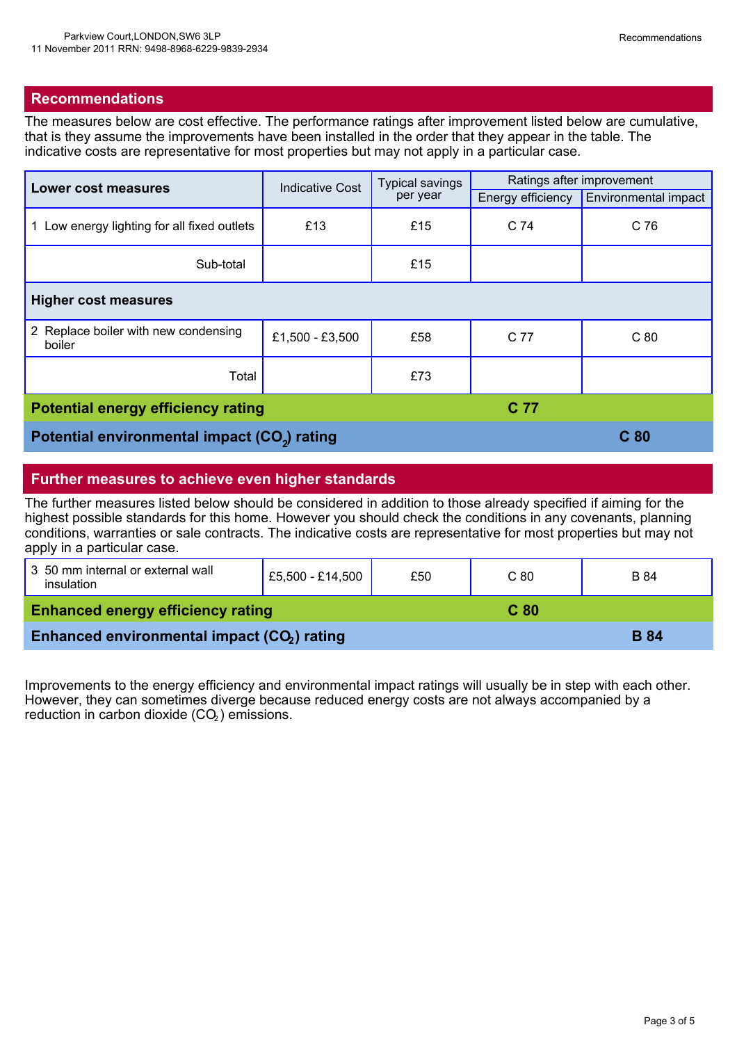#### **Recommendations**

The measures below are cost effective. The performance ratings after improvement listed below are cumulative, that is they assume the improvements have been installed in the order that they appear in the table. The indicative costs are representative for most properties but may not apply in a particular case.

| <b>Lower cost measures</b>                               | <b>Indicative Cost</b> | <b>Typical savings</b><br>per year | Ratings after improvement |                             |  |
|----------------------------------------------------------|------------------------|------------------------------------|---------------------------|-----------------------------|--|
|                                                          |                        |                                    | Energy efficiency         | <b>Environmental impact</b> |  |
| 1 Low energy lighting for all fixed outlets              | £13                    | £15                                | C 74                      | C 76                        |  |
| Sub-total                                                |                        | £15                                |                           |                             |  |
| <b>Higher cost measures</b>                              |                        |                                    |                           |                             |  |
| 2 Replace boiler with new condensing<br>boiler           | £1,500 - £3,500        | £58                                | C 77                      | C <sub>80</sub>             |  |
| Total                                                    |                        | £73                                |                           |                             |  |
| <b>Potential energy efficiency rating</b><br>C 77        |                        |                                    |                           |                             |  |
| Potential environmental impact (CO <sub>2</sub> ) rating |                        |                                    |                           | C <sub>80</sub>             |  |

#### **Further measures to achieve even higher standards**

The further measures listed below should be considered in addition to those already specified if aiming for the highest possible standards for this home. However you should check the conditions in any covenants, planning conditions, warranties or sale contracts. The indicative costs are representative for most properties but may not apply in a particular case.

| 3 50 mm internal or external wall<br>insulation         | £5,500 - £14,500 | £50 | C <sub>80</sub> | B 84 |
|---------------------------------------------------------|------------------|-----|-----------------|------|
| <b>Enhanced energy efficiency rating</b>                |                  |     | C <sub>80</sub> |      |
| Enhanced environmental impact (CO <sub>2</sub> ) rating |                  |     | <b>B</b> 84     |      |

Improvements to the energy efficiency and environmental impact ratings will usually be in step with each other. However, they can sometimes diverge because reduced energy costs are not always accompanied by a reduction in carbon dioxide  $(CO<sub>2</sub>)$  emissions.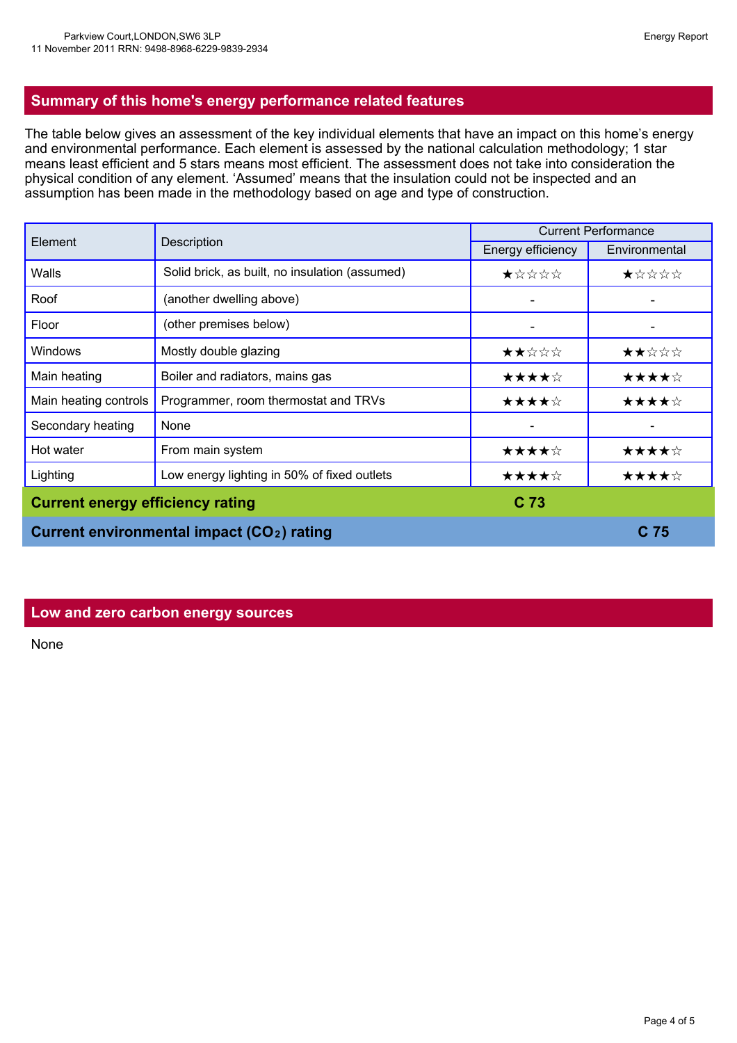The table below gives an assessment of the key individual elements that have an impact on this home's energy and environmental performance. Each element is assessed by the national calculation methodology; 1 star means least efficient and 5 stars means most efficient. The assessment does not take into consideration the physical condition of any element. 'Assumed' means that the insulation could not be inspected and an assumption has been made in the methodology based on age and type of construction.

| Element                                          | Description                                    | <b>Current Performance</b> |               |
|--------------------------------------------------|------------------------------------------------|----------------------------|---------------|
|                                                  |                                                | Energy efficiency          | Environmental |
| Walls                                            | Solid brick, as built, no insulation (assumed) | ★☆☆☆☆                      | ★☆☆☆☆         |
| Roof                                             | (another dwelling above)                       |                            |               |
| Floor                                            | (other premises below)                         |                            |               |
| <b>Windows</b>                                   | Mostly double glazing                          | ★★☆☆☆                      | ★★☆☆☆         |
| Main heating                                     | Boiler and radiators, mains gas                | ★★★★☆                      | ★★★★☆         |
| Main heating controls                            | Programmer, room thermostat and TRVs           | ★★★★☆                      | ★★★★☆         |
| Secondary heating                                | None                                           |                            |               |
| Hot water                                        | From main system                               | ★★★★☆                      | ★★★★☆         |
| Lighting                                         | Low energy lighting in 50% of fixed outlets    | ★★★★☆                      | ★★★★☆         |
| <b>Current energy efficiency rating</b>          |                                                | C <sub>73</sub>            |               |
| <b>Current environmental impact (CO2) rating</b> |                                                |                            | C 75          |

#### **Low and zero carbon energy sources**

None